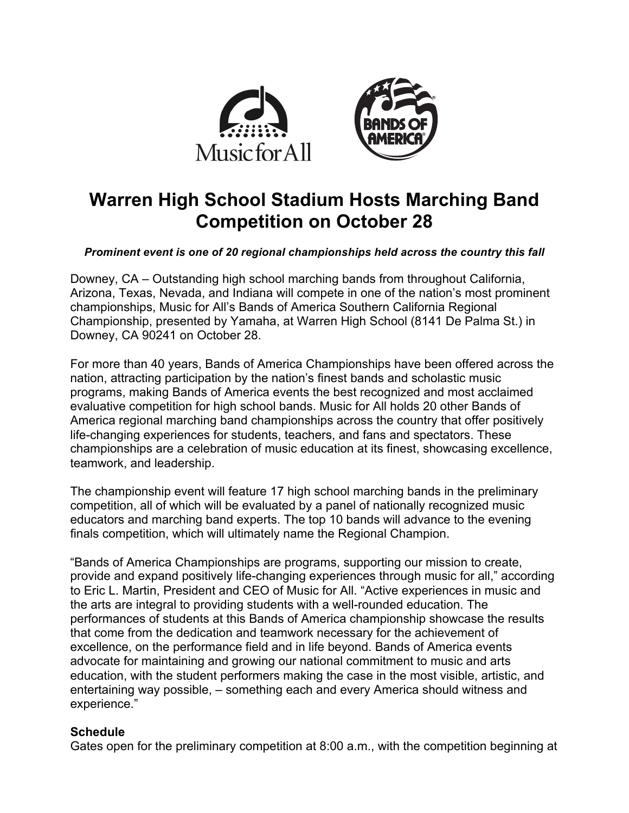

# **Warren High School Stadium Hosts Marching Band Competition on October 28**

#### *Prominent event is one of 20 regional championships held across the country this fall*

Downey, CA – Outstanding high school marching bands from throughout California, Arizona, Texas, Nevada, and Indiana will compete in one of the nation's most prominent championships, Music for All's Bands of America Southern California Regional Championship, presented by Yamaha, at Warren High School (8141 De Palma St.) in Downey, CA 90241 on October 28.

For more than 40 years, Bands of America Championships have been offered across the nation, attracting participation by the nation's finest bands and scholastic music programs, making Bands of America events the best recognized and most acclaimed evaluative competition for high school bands. Music for All holds 20 other Bands of America regional marching band championships across the country that offer positively life-changing experiences for students, teachers, and fans and spectators. These championships are a celebration of music education at its finest, showcasing excellence, teamwork, and leadership.

The championship event will feature 17 high school marching bands in the preliminary competition, all of which will be evaluated by a panel of nationally recognized music educators and marching band experts. The top 10 bands will advance to the evening finals competition, which will ultimately name the Regional Champion.

"Bands of America Championships are programs, supporting our mission to create, provide and expand positively life-changing experiences through music for all," according to Eric L. Martin, President and CEO of Music for All. "Active experiences in music and the arts are integral to providing students with a well-rounded education. The performances of students at this Bands of America championship showcase the results that come from the dedication and teamwork necessary for the achievement of excellence, on the performance field and in life beyond. Bands of America events advocate for maintaining and growing our national commitment to music and arts education, with the student performers making the case in the most visible, artistic, and entertaining way possible, – something each and every America should witness and experience."

### **Schedule**

Gates open for the preliminary competition at 8:00 a.m., with the competition beginning at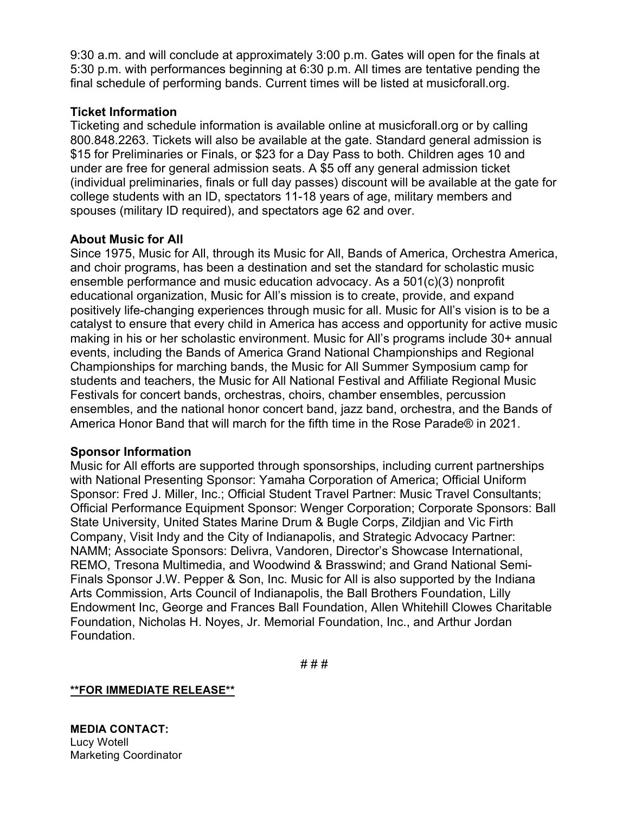9:30 a.m. and will conclude at approximately 3:00 p.m. Gates will open for the finals at 5:30 p.m. with performances beginning at 6:30 p.m. All times are tentative pending the final schedule of performing bands. Current times will be listed at musicforall.org.

## **Ticket Information**

Ticketing and schedule information is available online at musicforall.org or by calling 800.848.2263. Tickets will also be available at the gate. Standard general admission is \$15 for Preliminaries or Finals, or \$23 for a Day Pass to both. Children ages 10 and under are free for general admission seats. A \$5 off any general admission ticket (individual preliminaries, finals or full day passes) discount will be available at the gate for college students with an ID, spectators 11-18 years of age, military members and spouses (military ID required), and spectators age 62 and over.

## **About Music for All**

Since 1975, Music for All, through its Music for All, Bands of America, Orchestra America, and choir programs, has been a destination and set the standard for scholastic music ensemble performance and music education advocacy. As a 501(c)(3) nonprofit educational organization, Music for All's mission is to create, provide, and expand positively life-changing experiences through music for all. Music for All's vision is to be a catalyst to ensure that every child in America has access and opportunity for active music making in his or her scholastic environment. Music for All's programs include 30+ annual events, including the Bands of America Grand National Championships and Regional Championships for marching bands, the Music for All Summer Symposium camp for students and teachers, the Music for All National Festival and Affiliate Regional Music Festivals for concert bands, orchestras, choirs, chamber ensembles, percussion ensembles, and the national honor concert band, jazz band, orchestra, and the Bands of America Honor Band that will march for the fifth time in the Rose Parade® in 2021.

### **Sponsor Information**

Music for All efforts are supported through sponsorships, including current partnerships with National Presenting Sponsor: Yamaha Corporation of America; Official Uniform Sponsor: Fred J. Miller, Inc.; Official Student Travel Partner: Music Travel Consultants; Official Performance Equipment Sponsor: Wenger Corporation; Corporate Sponsors: Ball State University, United States Marine Drum & Bugle Corps, Zildjian and Vic Firth Company, Visit Indy and the City of Indianapolis, and Strategic Advocacy Partner: NAMM; Associate Sponsors: Delivra, Vandoren, Director's Showcase International, REMO, Tresona Multimedia, and Woodwind & Brasswind; and Grand National Semi-Finals Sponsor J.W. Pepper & Son, Inc. Music for All is also supported by the Indiana Arts Commission, Arts Council of Indianapolis, the Ball Brothers Foundation, Lilly Endowment Inc, George and Frances Ball Foundation, Allen Whitehill Clowes Charitable Foundation, Nicholas H. Noyes, Jr. Memorial Foundation, Inc., and Arthur Jordan Foundation.

# # #

**\*\*FOR IMMEDIATE RELEASE\*\***

**MEDIA CONTACT:** Lucy Wotell Marketing Coordinator